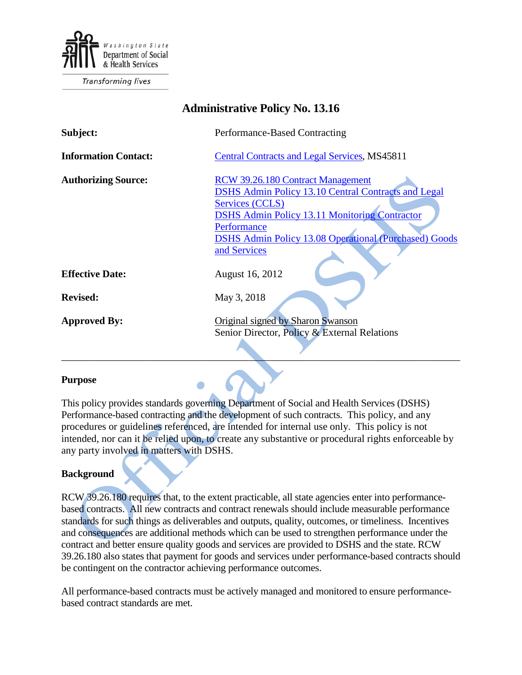

**Transforming lives** 

| <b>Administrative Policy No. 13.16</b> |                                                                                                                                                                                                                                                                           |
|----------------------------------------|---------------------------------------------------------------------------------------------------------------------------------------------------------------------------------------------------------------------------------------------------------------------------|
| Subject:                               | Performance-Based Contracting                                                                                                                                                                                                                                             |
| <b>Information Contact:</b>            | <b>Central Contracts and Legal Services, MS45811</b>                                                                                                                                                                                                                      |
| <b>Authorizing Source:</b>             | RCW 39.26.180 Contract Management<br><b>DSHS Admin Policy 13.10 Central Contracts and Legal</b><br>Services (CCLS)<br><b>DSHS Admin Policy 13.11 Monitoring Contractor</b><br>Performance<br><b>DSHS Admin Policy 13.08 Operational (Purchased) Goods</b><br>and Services |
| <b>Effective Date:</b>                 | August 16, 2012                                                                                                                                                                                                                                                           |
| <b>Revised:</b>                        | May 3, 2018                                                                                                                                                                                                                                                               |
| <b>Approved By:</b>                    | Original signed by Sharon Swanson<br>Senior Director, Policy & External Relations                                                                                                                                                                                         |

#### **Purpose**

This policy provides standards governing Department of Social and Health Services (DSHS) Performance-based contracting and the development of such contracts. This policy, and any procedures or guidelines referenced, are intended for internal use only. This policy is not intended, nor can it be relied upon, to create any substantive or procedural rights enforceable by any party involved in matters with DSHS.

### **Background**

RCW 39.26.180 requires that, to the extent practicable, all state agencies enter into performancebased contracts. All new contracts and contract renewals should include measurable performance standards for such things as deliverables and outputs, quality, outcomes, or timeliness. Incentives and consequences are additional methods which can be used to strengthen performance under the contract and better ensure quality goods and services are provided to DSHS and the state. RCW 39.26.180 also states that payment for goods and services under performance-based contracts should be contingent on the contractor achieving performance outcomes.

All performance-based contracts must be actively managed and monitored to ensure performancebased contract standards are met.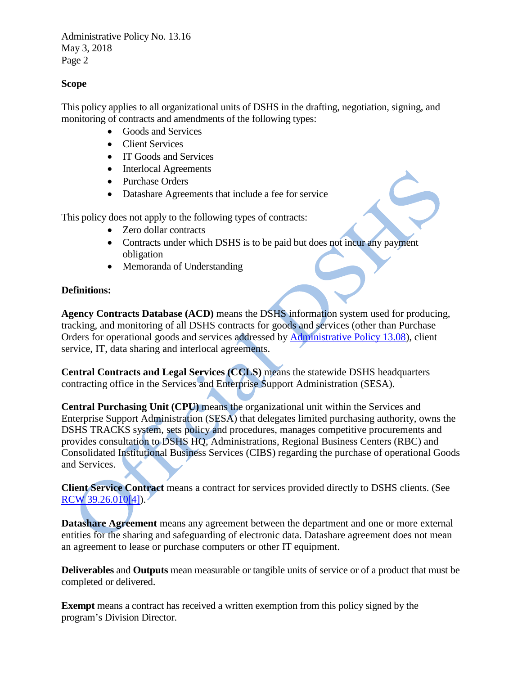# **Scope**

This policy applies to all organizational units of DSHS in the drafting, negotiation, signing, and monitoring of contracts and amendments of the following types:

- Goods and Services
- Client Services
- IT Goods and Services
- Interlocal Agreements
- Purchase Orders
- Datashare Agreements that include a fee for service

This policy does not apply to the following types of contracts:

- Zero dollar contracts
- Contracts under which DSHS is to be paid but does not incur any payment obligation
- Memoranda of Understanding

## **Definitions:**

**Agency Contracts Database (ACD)** means the DSHS information system used for producing, tracking, and monitoring of all DSHS contracts for goods and services (other than Purchase Orders for operational goods and services addressed by [Administrative Policy 13.08\)](http://one.dshs.wa.lcl/Policies/Administrative/DSHS-AP-13-08.pdf), client service, IT, data sharing and interlocal agreements.

**Central Contracts and Legal Services (CCLS)** means the statewide DSHS headquarters contracting office in the Services and Enterprise Support Administration (SESA).

**Central Purchasing Unit (CPU)** means the organizational unit within the Services and Enterprise Support Administration (SESA) that delegates limited purchasing authority, owns the DSHS TRACKS system, sets policy and procedures, manages competitive procurements and provides consultation to DSHS HQ, Administrations, Regional Business Centers (RBC) and Consolidated Institutional Business Services (CIBS) regarding the purchase of operational Goods and Services.

**Client Service Contract** means a contract for services provided directly to DSHS clients. (See  $RCW$  39.26.010[4]).

**Datashare Agreement** means any agreement between the department and one or more external entities for the sharing and safeguarding of electronic data. Datashare agreement does not mean an agreement to lease or purchase computers or other IT equipment.

**Deliverables** and **Outputs** mean measurable or tangible units of service or of a product that must be completed or delivered.

**Exempt** means a contract has received a written exemption from this policy signed by the program's Division Director.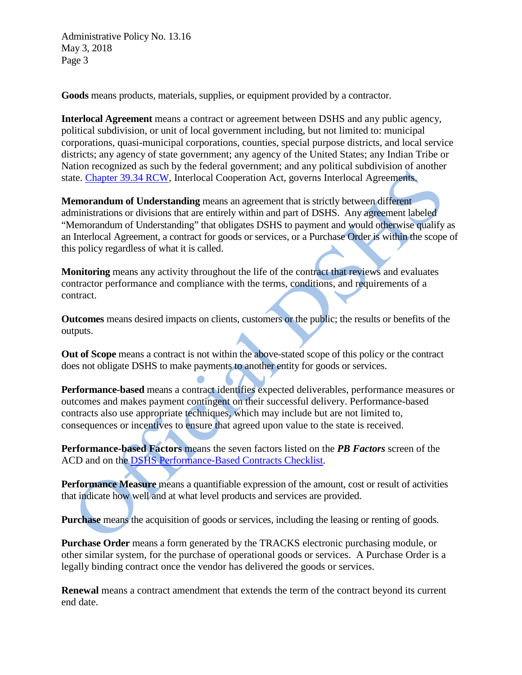**Goods** means products, materials, supplies, or equipment provided by a contractor.

**Interlocal Agreement** means a contract or agreement between DSHS and any public agency, political subdivision, or unit of local government including, but not limited to: municipal corporations, quasi-municipal corporations, counties, special purpose districts, and local service districts; any agency of state government; any agency of the United States; any Indian Tribe or Nation recognized as such by the federal government; and any political subdivision of another state. [Chapter 39.34 RCW,](http://apps.leg.wa.gov/RCW/default.aspx?cite=39.34) Interlocal Cooperation Act, governs Interlocal Agreements.

**Memorandum of Understanding** means an agreement that is strictly between different administrations or divisions that are entirely within and part of DSHS. Any agreement labeled "Memorandum of Understanding" that obligates DSHS to payment and would otherwise qualify as an Interlocal Agreement, a contract for goods or services, or a Purchase Order is within the scope of this policy regardless of what it is called.

**Monitoring** means any activity throughout the life of the contract that reviews and evaluates contractor performance and compliance with the terms, conditions, and requirements of a contract.

**Outcomes** means desired impacts on clients, customers or the public; the results or benefits of the outputs.

**Out of Scope** means a contract is not within the above-stated scope of this policy or the contract does not obligate DSHS to make payments to another entity for goods or services.

**Performance-based** means a contract identifies expected deliverables, performance measures or outcomes and makes payment contingent on their successful delivery. Performance-based contracts also use appropriate techniques, which may include but are not limited to, consequences or incentives to ensure that agreed upon value to the state is received.

**Performance-based Factors** means the seven factors listed on the *PB Factors* screen of the ACD and on the [DSHS Performance-Based Contracts Checklist.](http://one.dshs.wa.lcl/FS/OSS/CCS/Guide/PBK%20Checklist%20rev%204-12-16.docx)

**Performance Measure** means a quantifiable expression of the amount, cost or result of activities that indicate how well and at what level products and services are provided.

**Purchase** means the acquisition of goods or services, including the leasing or renting of goods.

**Purchase Order** means a form generated by the TRACKS electronic purchasing module, or other similar system, for the purchase of operational goods or services. A Purchase Order is a legally binding contract once the vendor has delivered the goods or services.

**Renewal** means a contract amendment that extends the term of the contract beyond its current end date.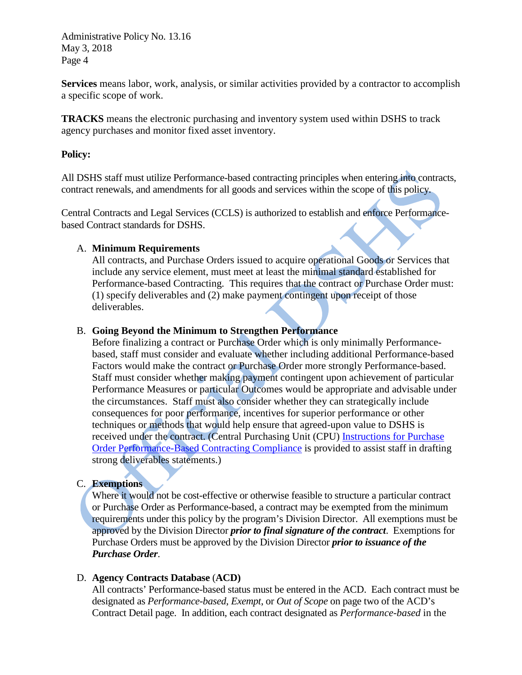**Services** means labor, work, analysis, or similar activities provided by a contractor to accomplish a specific scope of work.

**TRACKS** means the electronic purchasing and inventory system used within DSHS to track agency purchases and monitor fixed asset inventory.

## **Policy:**

All DSHS staff must utilize Performance-based contracting principles when entering into contracts, contract renewals, and amendments for all goods and services within the scope of this policy.

Central Contracts and Legal Services (CCLS) is authorized to establish and enforce Performancebased Contract standards for DSHS.

### A. **Minimum Requirements**

All contracts, and Purchase Orders issued to acquire operational Goods or Services that include any service element, must meet at least the minimal standard established for Performance-based Contracting. This requires that the contract or Purchase Order must: (1) specify deliverables and (2) make payment contingent upon receipt of those deliverables.

## B. **Going Beyond the Minimum to Strengthen Performance**

Before finalizing a contract or Purchase Order which is only minimally Performancebased, staff must consider and evaluate whether including additional Performance-based Factors would make the contract or Purchase Order more strongly Performance-based. Staff must consider whether making payment contingent upon achievement of particular Performance Measures or particular Outcomes would be appropriate and advisable under the circumstances. Staff must also consider whether they can strategically include consequences for poor performance, incentives for superior performance or other techniques or methods that would help ensure that agreed-upon value to DSHS is received under the contract. (Central Purchasing Unit (CPU) [Instructions for Purchase](http://one.dshs.wa.lcl/FS/OSS/CPU/Purchasing/Documents/PBC%20Compliance%20Instructions%20%28draft%207-24-2015%29.pdf)  [Order Performance-Based Contracting Compliance](http://one.dshs.wa.lcl/FS/OSS/CPU/Purchasing/Documents/PBC%20Compliance%20Instructions%20%28draft%207-24-2015%29.pdf) is provided to assist staff in drafting strong deliverables statements.)

### C. **Exemptions**

Where it would not be cost-effective or otherwise feasible to structure a particular contract or Purchase Order as Performance-based, a contract may be exempted from the minimum requirements under this policy by the program's Division Director. All exemptions must be approved by the Division Director *prior to final signature of the contract*. Exemptions for Purchase Orders must be approved by the Division Director *prior to issuance of the Purchase Order*.

### D. **Agency Contracts Database** (**ACD)**

All contracts' Performance-based status must be entered in the ACD. Each contract must be designated as *Performance-based*, *Exempt*, or *Out of Scope* on page two of the ACD's Contract Detail page. In addition, each contract designated as *Performance-based* in the